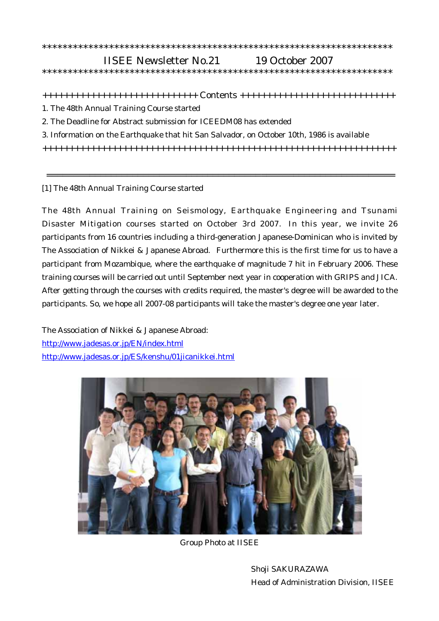## \*\*\*\*\*\*\*\*\*\*\*\*\*\*\*\*\*\*\*\*\*\*\*\*\*\*\*\*\*\*\*\*\*\*\*\*\*\*\*\*\*\*\*\*\*\*\*\*\*\*\*\*\*\*\*\*\*\*\*\*\*\*\*\*\*\*\*\*

## IISEE Newsletter No.21 19 October 2007

\*\*\*\*\*\*\*\*\*\*\*\*\*\*\*\*\*\*\*\*\*\*\*\*\*\*\*\*\*\*\*\*\*\*\*\*\*\*\*\*\*\*\*\*\*\*\*\*\*\*\*\*\*\*\*\*\*\*\*\*\*\*\*\*\*\*\*\*

+++++++++++++++++++++++++++++ Contents +++++++++++++++++++++++++++++

- 1. The 48th Annual Training Course started
- 2. The Deadline for Abstract submission for ICEEDM08 has extended
- 3. Information on the Earthquake that hit San Salvador, on October 10th, 1986 is available

++++++++++++++++++++++++++++++++++++++++++++++++++++++++++++++++++

=================================================================

[1] The 48th Annual Training Course started

The 48th Annual Training on Seismology, Earthquake Engineering and Tsunami Disaster Mitigation courses started on October 3rd 2007. In this year, we invite 26 participants from 16 countries including a third-generation Japanese-Dominican who is invited by The Association of Nikkei & Japanese Abroad. Furthermore this is the first time for us to have a participant from Mozambique, where the earthquake of magnitude 7 hit in February 2006. These training courses will be carried out until September next year in cooperation with GRIPS and JICA. After getting through the courses with credits required, the master's degree will be awarded to the participants. So, we hope all 2007-08 participants will take the master's degree one year later.

The Association of Nikkei & Japanese Abroad: <http://www.jadesas.or.jp/EN/index.html> <http://www.jadesas.or.jp/ES/kenshu/01jicanikkei.html>



Group Photo at IISEE